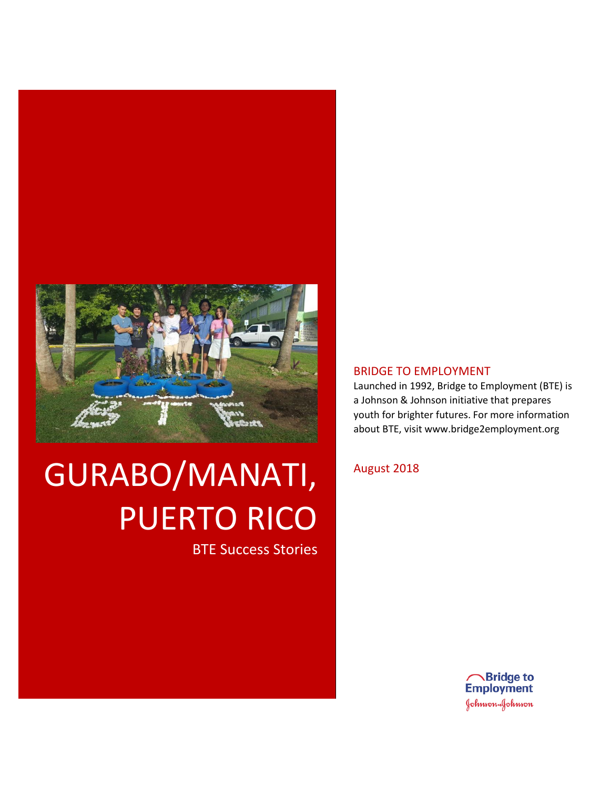

# GURABO/MANATI, PUERTO RICO

BTE Success Stories

#### BRIDGE TO EMPLOYMENT

Launched in 1992, Bridge to Employment (BTE) is a Johnson & Johnson initiative that prepares youth for brighter futures. For more information about BTE, visit www.bridge2employment.org

#### August 2018

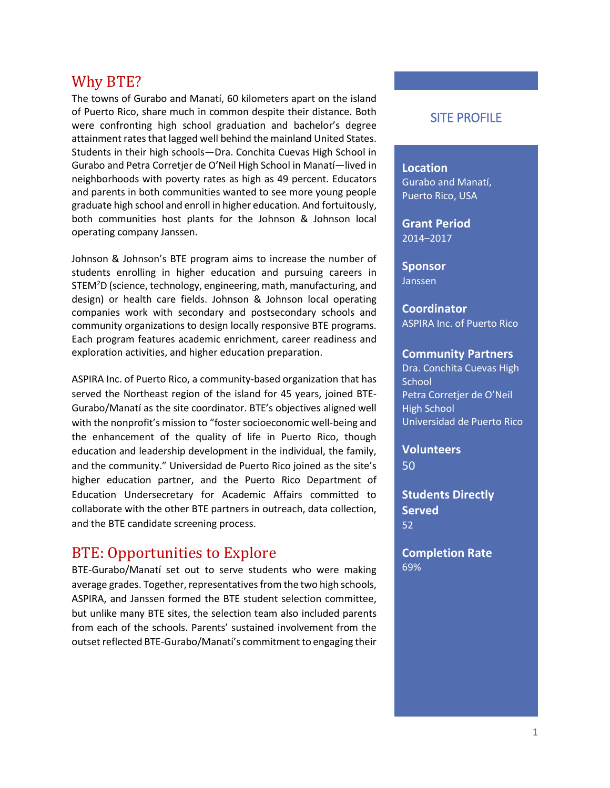## Why BTE?

The towns of Gurabo and Manatí, 60 kilometers apart on the island of Puerto Rico, share much in common despite their distance. Both were confronting high school graduation and bachelor's degree attainment rates that lagged well behind the mainland United States. Students in their high schools—Dra. Conchita Cuevas High School in Gurabo and Petra Corretjer de O'Neil High School in Manatí—lived in neighborhoods with poverty rates as high as 49 percent. Educators and parents in both communities wanted to see more young people graduate high school and enroll in higher education. And fortuitously, both communities host plants for the Johnson & Johnson local operating company Janssen.

Johnson & Johnson's BTE program aims to increase the number of students enrolling in higher education and pursuing careers in STEM<sup>2</sup>D (science, technology, engineering, math, manufacturing, and design) or health care fields. Johnson & Johnson local operating companies work with secondary and postsecondary schools and community organizations to design locally responsive BTE programs. Each program features academic enrichment, career readiness and exploration activities, and higher education preparation.

ASPIRA Inc. of Puerto Rico, a community-based organization that has served the Northeast region of the island for 45 years, joined BTE-Gurabo/Manatí as the site coordinator. BTE's objectives aligned well with the nonprofit's mission to "foster socioeconomic well-being and the enhancement of the quality of life in Puerto Rico, though education and leadership development in the individual, the family, and the community." Universidad de Puerto Rico joined as the site's higher education partner, and the Puerto Rico Department of Education Undersecretary for Academic Affairs committed to collaborate with the other BTE partners in outreach, data collection, and the BTE candidate screening process.

### BTE: Opportunities to Explore

BTE-Gurabo/Manatí set out to serve students who were making average grades. Together, representatives from the two high schools, ASPIRA, and Janssen formed the BTE student selection committee, but unlike many BTE sites, the selection team also included parents from each of the schools. Parents' sustained involvement from the outset reflected BTE-Gurabo/Manatí's commitment to engaging their

#### SITE PROFILE

# **Location**

Gurabo and Manatí, Puerto Rico, USA

**Grant Period** 2014–2017

**Sponsor** Janssen

**Coordinator** ASPIRA Inc. of Puerto Rico

#### **Community Partners**

Dra. Conchita Cuevas High **School** Petra Corretjer de O'Neil High School Universidad de Puerto Rico

**Volunteers** 50

**Students Directly Served** 52

**Completion Rate** 69%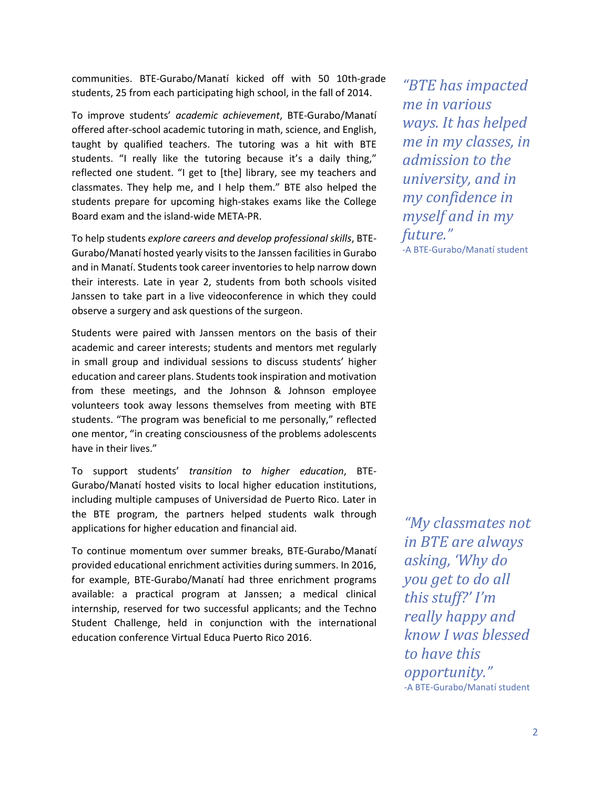communities. BTE-Gurabo/Manatí kicked off with 50 10th-grade students, 25 from each participating high school, in the fall of 2014.

To improve students' *academic achievement*, BTE-Gurabo/Manatí offered after-school academic tutoring in math, science, and English, taught by qualified teachers. The tutoring was a hit with BTE students. "I really like the tutoring because it's a daily thing," reflected one student. "I get to [the] library, see my teachers and classmates. They help me, and I help them." BTE also helped the students prepare for upcoming high-stakes exams like the College Board exam and the island-wide META-PR.

To help students *explore careers and develop professional skills*, BTE-Gurabo/Manatí hosted yearly visits to the Janssen facilities in Gurabo and in Manatí. Students took career inventoriesto help narrow down their interests. Late in year 2, students from both schools visited Janssen to take part in a live videoconference in which they could observe a surgery and ask questions of the surgeon.

Students were paired with Janssen mentors on the basis of their academic and career interests; students and mentors met regularly in small group and individual sessions to discuss students' higher education and career plans. Students took inspiration and motivation from these meetings, and the Johnson & Johnson employee volunteers took away lessons themselves from meeting with BTE students. "The program was beneficial to me personally," reflected one mentor, "in creating consciousness of the problems adolescents have in their lives."

To support students' *transition to higher education*, BTE-Gurabo/Manatí hosted visits to local higher education institutions, including multiple campuses of Universidad de Puerto Rico. Later in the BTE program, the partners helped students walk through applications for higher education and financial aid.

To continue momentum over summer breaks, BTE-Gurabo/Manatí provided educational enrichment activities during summers. In 2016, for example, BTE-Gurabo/Manatí had three enrichment programs available: a practical program at Janssen; a medical clinical internship, reserved for two successful applicants; and the Techno Student Challenge, held in conjunction with the international education conference Virtual Educa Puerto Rico 2016.

*"BTE has impacted me in various ways. It has helped me in my classes, in admission to the university, and in my confidence in myself and in my future."* -A BTE-Gurabo/Manatí student

*"My classmates not in BTE are always asking, 'Why do you get to do all this stuff?' I'm really happy and know I was blessed to have this opportunity."* -A BTE-Gurabo/Manatí student